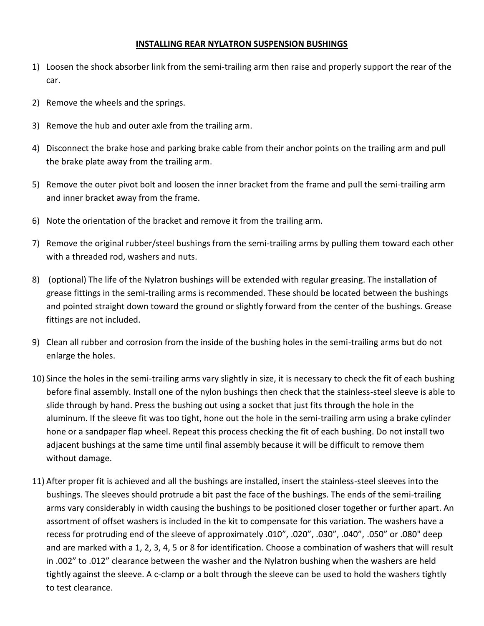## **INSTALLING REAR NYLATRON SUSPENSION BUSHINGS**

- 1) Loosen the shock absorber link from the semi-trailing arm then raise and properly support the rear of the car.
- 2) Remove the wheels and the springs.
- 3) Remove the hub and outer axle from the trailing arm.
- 4) Disconnect the brake hose and parking brake cable from their anchor points on the trailing arm and pull the brake plate away from the trailing arm.
- 5) Remove the outer pivot bolt and loosen the inner bracket from the frame and pull the semi-trailing arm and inner bracket away from the frame.
- 6) Note the orientation of the bracket and remove it from the trailing arm.
- 7) Remove the original rubber/steel bushings from the semi-trailing arms by pulling them toward each other with a threaded rod, washers and nuts.
- 8) (optional) The life of the Nylatron bushings will be extended with regular greasing. The installation of grease fittings in the semi-trailing arms is recommended. These should be located between the bushings and pointed straight down toward the ground or slightly forward from the center of the bushings. Grease fittings are not included.
- 9) Clean all rubber and corrosion from the inside of the bushing holes in the semi-trailing arms but do not enlarge the holes.
- 10) Since the holes in the semi-trailing arms vary slightly in size, it is necessary to check the fit of each bushing before final assembly. Install one of the nylon bushings then check that the stainless-steel sleeve is able to slide through by hand. Press the bushing out using a socket that just fits through the hole in the aluminum. If the sleeve fit was too tight, hone out the hole in the semi-trailing arm using a brake cylinder hone or a sandpaper flap wheel. Repeat this process checking the fit of each bushing. Do not install two adjacent bushings at the same time until final assembly because it will be difficult to remove them without damage.
- 11) After proper fit is achieved and all the bushings are installed, insert the stainless-steel sleeves into the bushings. The sleeves should protrude a bit past the face of the bushings. The ends of the semi-trailing arms vary considerably in width causing the bushings to be positioned closer together or further apart. An assortment of offset washers is included in the kit to compensate for this variation. The washers have a recess for protruding end of the sleeve of approximately .010", .020", .030", .040", .050" or .080" deep and are marked with a 1, 2, 3, 4, 5 or 8 for identification. Choose a combination of washers that will result in .002" to .012" clearance between the washer and the Nylatron bushing when the washers are held tightly against the sleeve. A c-clamp or a bolt through the sleeve can be used to hold the washers tightly to test clearance.